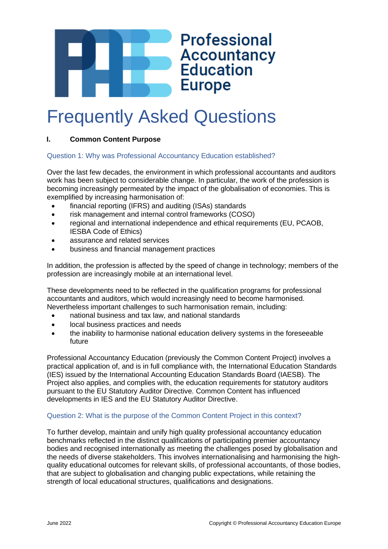

# Frequently Asked Questions

# **I. Common Content Purpose**

# Question 1: Why was Professional Accountancy Education established?

Over the last few decades, the environment in which professional accountants and auditors work has been subject to considerable change. In particular, the work of the profession is becoming increasingly permeated by the impact of the globalisation of economies. This is exemplified by increasing harmonisation of:

- financial reporting (IFRS) and auditing (ISAs) standards
- risk management and internal control frameworks (COSO)
- regional and international independence and ethical requirements (EU, PCAOB, IESBA Code of Ethics)
- assurance and related services
- business and financial management practices

In addition, the profession is affected by the speed of change in technology; members of the profession are increasingly mobile at an international level.

These developments need to be reflected in the qualification programs for professional accountants and auditors, which would increasingly need to become harmonised. Nevertheless important challenges to such harmonisation remain, including:

- national business and tax law, and national standards
- local business practices and needs
- the inability to harmonise national education delivery systems in the foreseeable future

Professional Accountancy Education (previously the Common Content Project) involves a practical application of, and is in full compliance with, the International Education Standards (IES) issued by the International Accounting Education Standards Board (IAESB). The Project also applies, and complies with, the education requirements for statutory auditors pursuant to the EU Statutory Auditor Directive. Common Content has influenced developments in IES and the EU Statutory Auditor Directive.

# Question 2: What is the purpose of the Common Content Project in this context?

To further develop, maintain and unify high quality professional accountancy education benchmarks reflected in the distinct qualifications of participating premier accountancy bodies and recognised internationally as meeting the challenges posed by globalisation and the needs of diverse stakeholders. This involves internationalising and harmonising the highquality educational outcomes for relevant skills, of professional accountants, of those bodies, that are subject to globalisation and changing public expectations, while retaining the strength of local educational structures, qualifications and designations.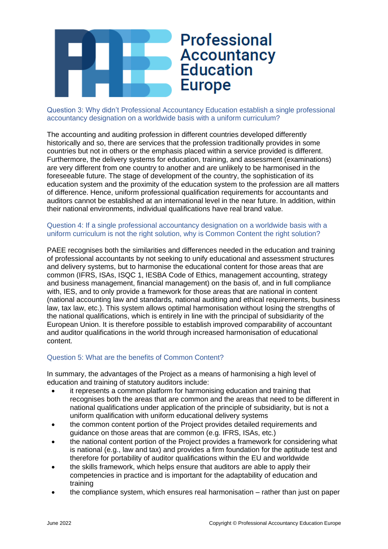

Question 3: Why didn't Professional Accountancy Education establish a single professional accountancy designation on a worldwide basis with a uniform curriculum?

The accounting and auditing profession in different countries developed differently historically and so, there are services that the profession traditionally provides in some countries but not in others or the emphasis placed within a service provided is different. Furthermore, the delivery systems for education, training, and assessment (examinations) are very different from one country to another and are unlikely to be harmonised in the foreseeable future. The stage of development of the country, the sophistication of its education system and the proximity of the education system to the profession are all matters of difference. Hence, uniform professional qualification requirements for accountants and auditors cannot be established at an international level in the near future. In addition, within their national environments, individual qualifications have real brand value.

# Question 4: If a single professional accountancy designation on a worldwide basis with a uniform curriculum is not the right solution, why is Common Content the right solution?

PAEE recognises both the similarities and differences needed in the education and training of professional accountants by not seeking to unify educational and assessment structures and delivery systems, but to harmonise the educational content for those areas that are common (IFRS, ISAs, ISQC 1, IESBA Code of Ethics, management accounting, strategy and business management, financial management) on the basis of, and in full compliance with, IES, and to only provide a framework for those areas that are national in content (national accounting law and standards, national auditing and ethical requirements, business law, tax law, etc.). This system allows optimal harmonisation without losing the strengths of the national qualifications, which is entirely in line with the principal of subsidiarity of the European Union. It is therefore possible to establish improved comparability of accountant and auditor qualifications in the world through increased harmonisation of educational content.

# Question 5: What are the benefits of Common Content?

In summary, the advantages of the Project as a means of harmonising a high level of education and training of statutory auditors include:

- it represents a common platform for harmonising education and training that recognises both the areas that are common and the areas that need to be different in national qualifications under application of the principle of subsidiarity, but is not a uniform qualification with uniform educational delivery systems
- the common content portion of the Project provides detailed requirements and guidance on those areas that are common (e.g. IFRS, ISAs, etc.)
- the national content portion of the Project provides a framework for considering what is national (e.g., law and tax) and provides a firm foundation for the aptitude test and therefore for portability of auditor qualifications within the EU and worldwide
- the skills framework, which helps ensure that auditors are able to apply their competencies in practice and is important for the adaptability of education and training
- the compliance system, which ensures real harmonisation rather than just on paper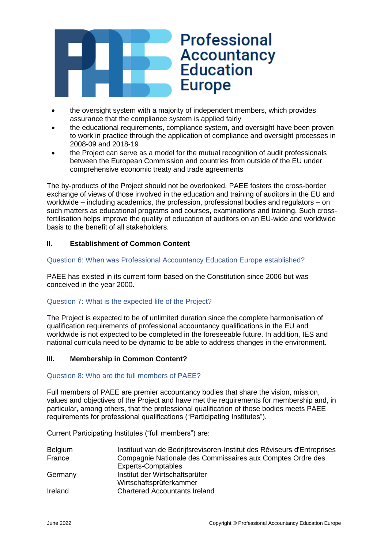

- the oversight system with a majority of independent members, which provides assurance that the compliance system is applied fairly
- the educational requirements, compliance system, and oversight have been proven to work in practice through the application of compliance and oversight processes in 2008-09 and 2018-19
- the Project can serve as a model for the mutual recognition of audit professionals between the European Commission and countries from outside of the EU under comprehensive economic treaty and trade agreements

The by-products of the Project should not be overlooked. PAEE fosters the cross-border exchange of views of those involved in the education and training of auditors in the EU and worldwide – including academics, the profession, professional bodies and regulators – on such matters as educational programs and courses, examinations and training. Such crossfertilisation helps improve the quality of education of auditors on an EU-wide and worldwide basis to the benefit of all stakeholders.

# **II. Establishment of Common Content**

# Question 6: When was Professional Accountancy Education Europe established?

PAEE has existed in its current form based on the Constitution since 2006 but was conceived in the year 2000.

# Question 7: What is the expected life of the Project?

The Project is expected to be of unlimited duration since the complete harmonisation of qualification requirements of professional accountancy qualifications in the EU and worldwide is not expected to be completed in the foreseeable future. In addition, IES and national curricula need to be dynamic to be able to address changes in the environment.

# **III. Membership in Common Content?**

# Question 8: Who are the full members of PAEE?

Full members of PAEE are premier accountancy bodies that share the vision, mission, values and objectives of the Project and have met the requirements for membership and, in particular, among others, that the professional qualification of those bodies meets PAEE requirements for professional qualifications ("Participating Institutes").

Current Participating Institutes ("full members") are:

| <b>Belgium</b> | Instituut van de Bedrijfsrevisoren-Institut des Réviseurs d'Entreprises |
|----------------|-------------------------------------------------------------------------|
| France         | Compagnie Nationale des Commissaires aux Comptes Ordre des              |
|                | <b>Experts-Comptables</b>                                               |
| Germany        | Institut der Wirtschaftsprüfer                                          |
|                | Wirtschaftsprüferkammer                                                 |
| Ireland        | <b>Chartered Accountants Ireland</b>                                    |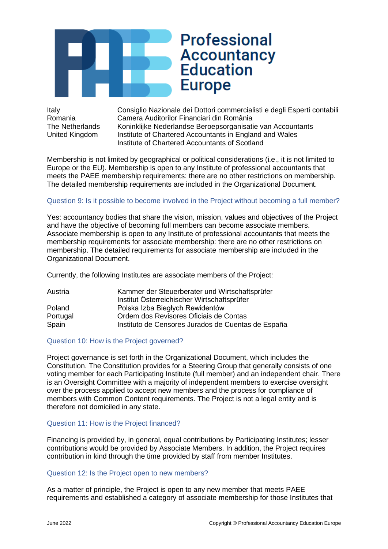

Italy Consiglio Nazionale dei Dottori commercialisti e degli Esperti contabili Romania Camera Auditorilor Financiari din România The Netherlands Koninklijke Nederlandse Beroepsorganisatie van Accountants United Kingdom Institute of Chartered Accountants in England and Wales Institute of Chartered Accountants of Scotland

Membership is not limited by geographical or political considerations (i.e., it is not limited to Europe or the EU). Membership is open to any Institute of professional accountants that meets the PAEE membership requirements: there are no other restrictions on membership. The detailed membership requirements are included in the Organizational Document.

# Question 9: Is it possible to become involved in the Project without becoming a full member?

Yes: accountancy bodies that share the vision, mission, values and objectives of the Project and have the objective of becoming full members can become associate members. Associate membership is open to any Institute of professional accountants that meets the membership requirements for associate membership: there are no other restrictions on membership. The detailed requirements for associate membership are included in the Organizational Document.

Currently, the following Institutes are associate members of the Project:

| Austria  | Kammer der Steuerberater und Wirtschaftsprüfer     |
|----------|----------------------------------------------------|
|          | Institut Österreichischer Wirtschaftsprüfer        |
| Poland   | Polska Izba Biegłych Rewidentów                    |
| Portugal | Ordem dos Revisores Oficiais de Contas             |
| Spain    | Instituto de Censores Jurados de Cuentas de España |

# Question 10: How is the Project governed?

Project governance is set forth in the Organizational Document, which includes the Constitution. The Constitution provides for a Steering Group that generally consists of one voting member for each Participating Institute (full member) and an independent chair. There is an Oversight Committee with a majority of independent members to exercise oversight over the process applied to accept new members and the process for compliance of members with Common Content requirements. The Project is not a legal entity and is therefore not domiciled in any state.

#### Question 11: How is the Project financed?

Financing is provided by, in general, equal contributions by Participating Institutes; lesser contributions would be provided by Associate Members. In addition, the Project requires contribution in kind through the time provided by staff from member Institutes.

#### Question 12: Is the Project open to new members?

As a matter of principle, the Project is open to any new member that meets PAEE requirements and established a category of associate membership for those Institutes that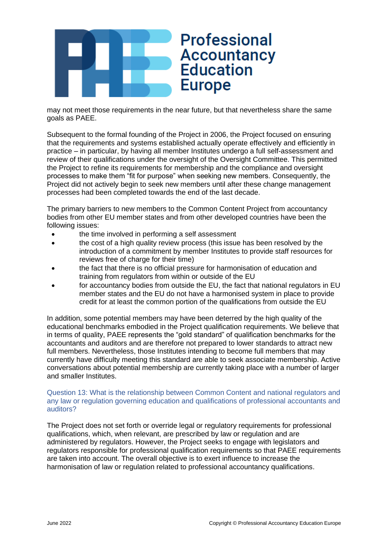

may not meet those requirements in the near future, but that nevertheless share the same goals as PAEE.

Subsequent to the formal founding of the Project in 2006, the Project focused on ensuring that the requirements and systems established actually operate effectively and efficiently in practice – in particular, by having all member Institutes undergo a full self-assessment and review of their qualifications under the oversight of the Oversight Committee. This permitted the Project to refine its requirements for membership and the compliance and oversight processes to make them "fit for purpose" when seeking new members. Consequently, the Project did not actively begin to seek new members until after these change management processes had been completed towards the end of the last decade.

The primary barriers to new members to the Common Content Project from accountancy bodies from other EU member states and from other developed countries have been the following issues:

- the time involved in performing a self assessment
- the cost of a high quality review process (this issue has been resolved by the introduction of a commitment by member Institutes to provide staff resources for reviews free of charge for their time)
- the fact that there is no official pressure for harmonisation of education and training from regulators from within or outside of the EU
- for accountancy bodies from outside the EU, the fact that national regulators in EU member states and the EU do not have a harmonised system in place to provide credit for at least the common portion of the qualifications from outside the EU

In addition, some potential members may have been deterred by the high quality of the educational benchmarks embodied in the Project qualification requirements. We believe that in terms of quality, PAEE represents the "gold standard" of qualification benchmarks for the accountants and auditors and are therefore not prepared to lower standards to attract new full members. Nevertheless, those Institutes intending to become full members that may currently have difficulty meeting this standard are able to seek associate membership. Active conversations about potential membership are currently taking place with a number of larger and smaller Institutes.

#### Question 13: What is the relationship between Common Content and national regulators and any law or regulation governing education and qualifications of professional accountants and auditors?

The Project does not set forth or override legal or regulatory requirements for professional qualifications, which, when relevant, are prescribed by law or regulation and are administered by regulators. However, the Project seeks to engage with legislators and regulators responsible for professional qualification requirements so that PAEE requirements are taken into account. The overall objective is to exert influence to increase the harmonisation of law or regulation related to professional accountancy qualifications.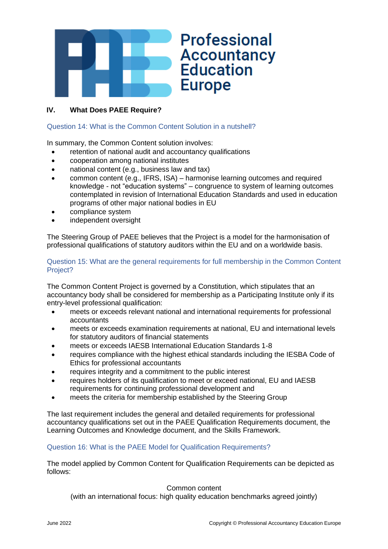

# **IV. What Does PAEE Require?**

#### Question 14: What is the Common Content Solution in a nutshell?

In summary, the Common Content solution involves:

- retention of national audit and accountancy qualifications
- cooperation among national institutes
- national content (e.g., business law and tax)
- common content (e.g., IFRS, ISA) harmonise learning outcomes and required knowledge - not "education systems" – congruence to system of learning outcomes contemplated in revision of International Education Standards and used in education programs of other major national bodies in EU
- compliance system
- independent oversight

The Steering Group of PAEE believes that the Project is a model for the harmonisation of professional qualifications of statutory auditors within the EU and on a worldwide basis.

#### Question 15: What are the general requirements for full membership in the Common Content Project?

The Common Content Project is governed by a Constitution, which stipulates that an accountancy body shall be considered for membership as a Participating Institute only if its entry-level professional qualification:

- meets or exceeds relevant national and international requirements for professional accountants
- meets or exceeds examination requirements at national, EU and international levels for statutory auditors of financial statements
- meets or exceeds IAESB International Education Standards 1-8
- requires compliance with the highest ethical standards including the IESBA Code of Ethics for professional accountants
- requires integrity and a commitment to the public interest
- requires holders of its qualification to meet or exceed national, EU and IAESB requirements for continuing professional development and
- meets the criteria for membership established by the Steering Group

The last requirement includes the general and detailed requirements for professional accountancy qualifications set out in the PAEE Qualification Requirements document, the Learning Outcomes and Knowledge document, and the Skills Framework.

#### Question 16: What is the PAEE Model for Qualification Requirements?

The model applied by Common Content for Qualification Requirements can be depicted as follows:

#### Common content

(with an international focus: high quality education benchmarks agreed jointly)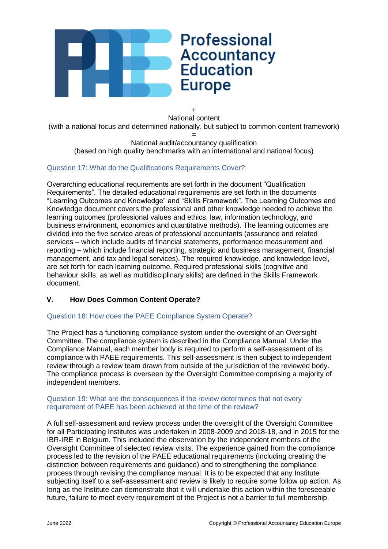

+ National content (with a national focus and determined nationally, but subject to common content framework) =

National audit/accountancy qualification (based on high quality benchmarks with an international and national focus)

# Question 17: What do the Qualifications Requirements Cover?

Overarching educational requirements are set forth in the document "Qualification Requirements". The detailed educational requirements are set forth in the documents "Learning Outcomes and Knowledge" and "Skills Framework". The Learning Outcomes and Knowledge document covers the professional and other knowledge needed to achieve the learning outcomes (professional values and ethics, law, information technology, and business environment, economics and quantitative methods). The learning outcomes are divided into the five service areas of professional accountants (assurance and related services – which include audits of financial statements, performance measurement and reporting – which include financial reporting, strategic and business management, financial management, and tax and legal services). The required knowledge, and knowledge level, are set forth for each learning outcome. Required professional skills (cognitive and behaviour skills, as well as multidisciplinary skills) are defined in the Skills Framework document.

# **V. How Does Common Content Operate?**

# Question 18: How does the PAEE Compliance System Operate?

The Project has a functioning compliance system under the oversight of an Oversight Committee. The compliance system is described in the Compliance Manual. Under the Compliance Manual, each member body is required to perform a self-assessment of its compliance with PAEE requirements. This self-assessment is then subject to independent review through a review team drawn from outside of the jurisdiction of the reviewed body. The compliance process is overseen by the Oversight Committee comprising a majority of independent members.

#### Question 19: What are the consequences if the review determines that not every requirement of PAEE has been achieved at the time of the review?

A full self-assessment and review process under the oversight of the Oversight Committee for all Participating Institutes was undertaken in 2008-2009 and 2018-18, and in 2015 for the IBR-IRE in Belgium. This included the observation by the independent members of the Oversight Committee of selected review visits. The experience gained from the compliance process led to the revision of the PAEE educational requirements (including creating the distinction between requirements and guidance) and to strengthening the compliance process through revising the compliance manual. It is to be expected that any Institute subjecting itself to a self-assessment and review is likely to require some follow up action. As long as the Institute can demonstrate that it will undertake this action within the foreseeable future, failure to meet every requirement of the Project is not a barrier to full membership.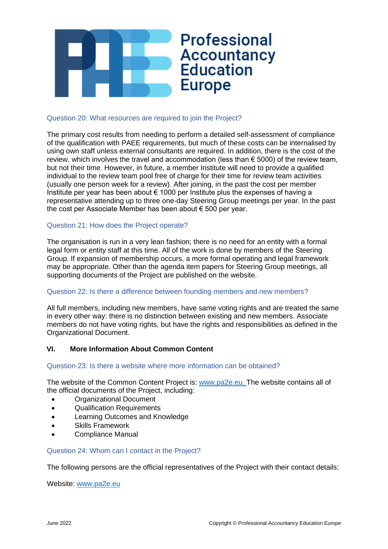

#### Question 20: What resources are required to join the Project?

The primary cost results from needing to perform a detailed self-assessment of compliance of the qualification with PAEE requirements, but much of these costs can be internalised by using own staff unless external consultants are required. In addition, there is the cost of the review, which involves the travel and accommodation (less than  $\epsilon$  5000) of the review team, but not their time. However, in future, a member Institute will need to provide a qualified individual to the review team pool free of charge for their time for review team activities (usually one person week for a review). After joining, in the past the cost per member Institute per year has been about  $\epsilon$  1000 per Institute plus the expenses of having a representative attending up to three one-day Steering Group meetings per year. In the past the cost per Associate Member has been about € 500 per year.

# Question 21: How does the Project operate?

The organisation is run in a very lean fashion; there is no need for an entity with a formal legal form or entity staff at this time. All of the work is done by members of the Steering Group. If expansion of membership occurs, a more formal operating and legal framework may be appropriate. Other than the agenda item papers for Steering Group meetings, all supporting documents of the Project are published on the website.

#### Question 22: Is there a difference between founding members and new members?

All full members, including new members, have same voting rights and are treated the same in every other way: there is no distinction between existing and new members. Associate members do not have voting rights, but have the rights and responsibilities as defined in the Organizational Document.

# **VI. More Information About Common Content**

Question 23: Is there a website where more information can be obtained?

The website of the Common Content Project is: [www.pa2e.eu.](http://www.pa2e.eu/) The website contains all of the official documents of the Project, including:

- Organizational Document
- Qualification Requirements
- Learning Outcomes and Knowledge
- Skills Framework
- Compliance Manual

#### Question 24: Whom can I contact in the Project?

The following persons are the official representatives of the Project with their contact details:

Website: [www.pa2e.eu](http://www.pa2e.eu/)